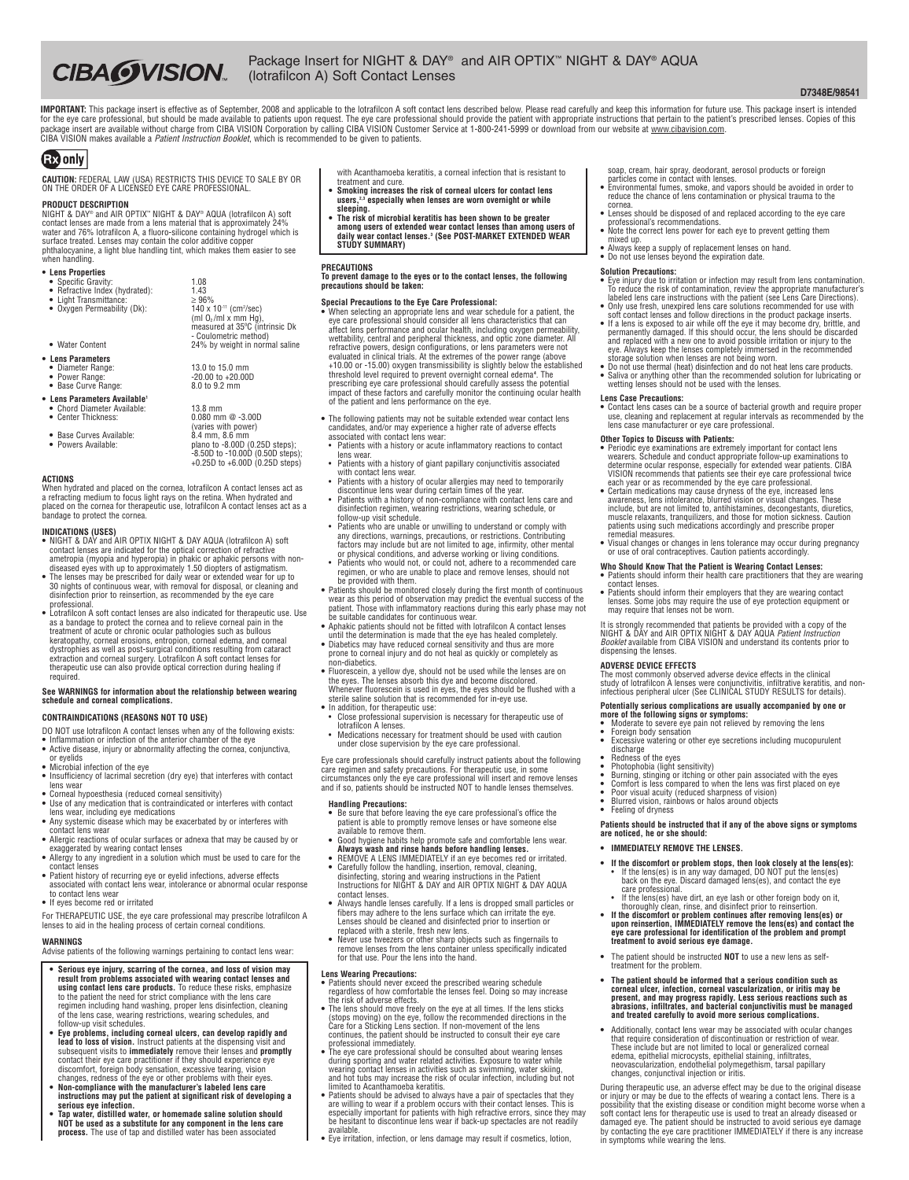# **CIBA WISION.**

### Package Insert for NIGHT & DAY® and AIR OPTIX™ NIGHT & DAY® AQUA (lotrafilcon A) Soft Contact Lenses

### **D7348E/98541**

IMPORTANT: This package insert is effective as of September, 2008 and applicable to the lotrafilcon A soft contact lens described below. Please read carefully and keep this information for future use. This package insert i for the eye care professional, but should be made available to patients upon request. The eye care professional should provide the patient with appropriate instructions that pertain to the patient's prescribed lenses. Copi

## **EX** only

**CAUTION:** FEDERAL LAW (USA) RESTRICTS THIS DEVICE TO SALE BY OR ON THE ORDER OF A LICENSED EYE CARE PROFESSIONAL.

**PRODUCT DESCRIPTION**<br>NIGHT & DAY® and AIR OPTIX" NIGHT & DAY® AQUA (lotrafiicon A) soft<br>contact lenses are made from a lens material that is approximately 24%<br>water and 76% lotrafiicon A, a fluoro-silicone containing hydr phthalocyanine, a light blue handling tint, which makes them easier to see when handling.

> $\frac{2}{140}$  x 10<sup>-11</sup> (cm<sup>2</sup>/sec) (ml O2 /ml x mm Hg), measured at 35ºC (intrinsic Dk - Coulometric method)

**13.0 to 15.0 mm<br>-20.00 to +20.00D<br>8.0 to 9.2 mm** 

13.8 mm<br> $0.080$  mm  $@ -3.00D$ <br>(varies with power)<br> $8.4$  mm.  $8.6$  mm

+0.25D to +6.00D (0.25D steps)

- **• Lens Properties**
- **•** Specific Gravity: 1.08 **•** Refractive Index (hydrated): 1.43 **•** Light Transmittance: ≥ 96% **•** Oxygen Permeability (Dk): 140 x 10-11 (cm2
- 

- Water Content 24% by weight in normal saline
- **• Lens Parameters**
- 
- **•** Power Range: -20.00 to +20.00D **•** Base Curve Range: 8.0 to 9.2 mm
- **• Lens Parameters Available1**
- **•** Chord Diameter Available: 13.8 mm **•** Center Thickness: 0.080 mm @ -3.00D
- Base Curves Available:<br>• Powers Available:
- **•** Powers Available: plano to -8.00D (0.25D steps); -8.50D to -10.00D (0.50D steps);
- **ACTIONS**

When hydrated and placed on the cornea, lotrafilcon A contact lenses act as a refracting medium to focus light rays on the retina. When hydrated and placed on the cornea for therapeutic use, lotrafilcon A contact lenses act as a bandage to protect the cornea.

#### **INDICATIONS (USES)**

- **•** NIGHT & DAY and AIR OPTIX NIGHT & DAY AQUA (lotrafilcon A) soft contact lenses are indicated for the optical correction of refractive ametropia (myopia and hyperopia) in phakic or aphakic persons with non-
- diseased eyes with up to approximately 1.50 diopters of astigmatism.<br>• The lenses may be prescribed for daily wear or extended wear for up to<br>• 30 nights of continuous wear, with removal for disposal, or cleaning and disinfection prior to reinsertion, as recommended by the eye care professional.
- **•** Lotrafilcon A soft contact lenses are also indicated for therapeutic use. Use as a bandage to protect the cornea and to relieve corneal pain in the treatment of acute or chronic coular pathologies such as bullous<br>keratopathy, corneal erosions, entropion, corneal edema, and corneal<br>dystrophies as wel required.

## **See WARNINGS for information about the relationship between wearing schedule and corneal complications.**

### **CONTRAINDICATIONS (REASONS NOT TO USE)**

- DO NOT use lotrafilcon A contact lenses when any of the following exists:
- **•** Inflammation or infection of the anterior chamber of the eye **•** Active disease, injury or abnormality affecting the cornea, conjunctiva,
- or eyelids **•** Microbial infection of the eye
- 
- **•** Insufficiency of lacrimal secretion (dry eye) that interferes with contact lens wear **•** Corneal hypoesthesia (reduced corneal sensitivity)
- 
- **•** Use of any medication that is contraindicated or interferes with contact lens wear, including eye medications **•** Any systemic disease which may be exacerbated by or interferes with
- contact lens wear • Allergic reactions of ocular surfaces or adnexa that may be caused by or exaggerated by wearing contact lenses **•** Allergy to any ingredient in a solution which must be used to care for the
- contact lenses
- **•** Patient history of recurring eye or eyelid infections, adverse effects associated with contact lens wear, intolerance or abnormal ocular response to contact lens wear
- **•** If eyes become red or irritated

For THERAPEUTIC USE, the eye care professional may prescribe lotrafilcon A lenses to aid in the healing process of certain corneal conditions.

### **WARNINGS**

Advise patients of the following warnings pertaining to contact lens wear:

- Serious eye injury, scarring of the cornea, and loss of vision may<br>result from problems associated with wearing contact lenses and<br>using contact lens care products. To reduce these risks, emphasize to the patient the need for strict compliance with the lens care regimen including hand washing, proper lens disinfection, cleaning of the lens case, wearing restrictions, wearing schedules, and follow-up visit schedules.
- Eye problems, including corneal ulcers, can develop rapidly and lead to loss of vision. Instruct paireis at the dispensing visit and subsequent visits to immediately remove their lenses and promptly contact their eye ca
- **• Non-compliance with the manufacturer's labeled lens care instructions may put the patient at significant risk of developing a serious eye infection.**
- **• Tap water, distilled water, or homemade saline solution should NOT be used as a substitute for any component in the lens care process.** The use of tap and distilled water has been associated
- with Acanthamoeba keratitis, a corneal infection that is resistant to treatment and cure.
- Smoking increases the risk of corneal ulcers for contact lens<br>users.<sup>2,3</sup> especially when lenses are worn overnight or while
- **sleeping. • The risk of microbial keratitis has been shown to be greater**
- among users of extended wear contact lenses than among users of<br>daily wear contact lenses.ª (See POST-MARKET EXTENDED WEAR<br>STUDY SUMMARY)

### **PRECAUTIONS**

## **To prevent damage to the eyes or to the contact lenses, the following precautions should be taken:**

- Special Precautions to the Eye Care Professional:<br>• When selecting an appropriate lens and wear schedule for a patient, the<br>• eve care professional should consider all lens characteristics that can affect lens performance and ocular health, including oxygen permeability,<br>wettability, central and peripheral thickness, and optic zone diameter. All<br>refractive powers, design configurations, or lens parameters were not evaluated in clinical trials. At the extremes of the power range (above<br>+10.00 or -15.00) oxygen transmissibility is slightly below the established<br>threshold level required to prevent overnight corneal edema<sup>4</sup>. The prescribing eye care professional should carefully assess the potential impact of these factors and carefully monitor the continuing ocular health of the patient and lens performance on the eye.
- **•** The following patients may not be suitable extended wear contact lens candidates, and/or may experience a higher rate of adverse effects associated with contact lens wear: • Patients with a history or acute inflammatory reactions to contact
- lens wear.
- Patients with a history of giant papillary conjunctivitis associated
- with contact lens wear. Patients with a history of ocular allergies may need to temporarily discontinue lens wear during certain times of the year. Patients with a history of non-compliance with contact lens care and
- disinfection regimen, wearing restrictions, wearing schedule, or follow-up visit schedule. • Patients who are unable or unwilling to understand or comply with
- any directions, warnings, precautions, or restrictions. Contributing factors may include but are not limited to age, infirmity, other mental or physical conditions, and adverse working or living conditions. • Patients who would not, or could not, adhere to a recommended care
- regimen, or who are unable to place and remove lenses, should not provided with them.
- **•** Patients should be monitored closely during the first month of continuous wear as this period of observation may predict the eventual success of the patient. Those with inflammatory reactions during this early phase may not be suitable candidates for continuous wear.<br>The suitable candidates for
- 
- until the determination is made that the eye has healed completely. **•** Diabetics may have reduced corneal sensitivity and thus are more prone to corneal injury and do not heal as quickly or completely as non-diabetics.
- **•** Fluorescein, a yellow dye, should not be used while the lenses are on the eyes. The lenses absorb this dye and become discolored. Whenever fluorescein is used in eyes, the eyes should be flushed with a
- sterile saline solution that is recommended for in-eye use. • In addition, for therapeutic use:
- Close professional supervision is necessary for therapeutic use of lotrafilcon A lenses.
- Medications necessary for treatment should be used with caution under close supervision by the eye care professional.

Eye care professionals should carefully instruct patients about the following care regimen and safety precautions. For therapeutic use, in some<br>circumstances only the eye care professional will insert and remove lenses<br>and if so, patients should be instructed NOT to handle lenses themselves.

#### **Handling Precautions:**

- **•** Be sure that before leaving the eye care professional's office the patient is able to promptly remove lenses or have someone else available to remove them.
- Good hygiene habits help promote safe and comfortable lens wear.<br>**Always wash and rinse hands before handling lenses.**<br>• REMOVE A LENS IMMEDIATELY if an eve becomes red or irritated.
- **•** Carefully follow the handling, insertion, removal, cleaning, disinfecting, storing and wearing instructions in the Patient Instructions for NIGHT & DAY and AIR OPTIX NIGHT & DAY AQUA
- contact lenses.
- **•** Always handle lenses carefully. If a lens is dropped small particles or fibers may adhere to the lens surface which can irritate the eye. Lenses should be cleaned and disinfected prior to insertion or replaced with a sterile, fresh new lens.
- **•** Never use tweezers or other sharp objects such as fingernails to remove lenses from the lens container unless specifically indicated for that use. Pour the lens into the hand.

- **Lens Wearing Precautions: •** Patients should never exceed the prescribed wearing schedule regardless of how comfortable the lenses feel. Doing so may increase the risk of adverse effects. **•** The lens should move freely on the eye at all times. If the lens sticks
- (stops moving) on the eye, follow the recommended directions in the Care for a Sticking Lens section. If non-movement of the lens continues, the patient should be instructed to consult their eye care professional immediately.
- $\bullet$  The eye care professional should be consulted about wearing lenses<br>during sporting and water related activities. Exposure to water while<br>waring contact lenses in activities such as swimming, water skiing,<br>and hot tub limited to Acanthamoeba keratitis.
- **•** Patients should be advised to always have a pair of spectacles that they are willing to wear if a problem occurs with their contact lenses. This is<br>especially important for patients with high refractive errors, since they may<br>be hesitant to discontinue lens wear if back-up spectacles are not re available. **•** Eye irritation, infection, or lens damage may result if cosmetics, lotion,
- 
- soap, cream, hair spray, deodorant, aerosol products or foreign particles come in contact with lenses.
- **•** Environmental fumes, smoke, and vapors should be avoided in order to reduce the chance of lens contamination or physical trauma to the
- cornea. **•** Lenses should be disposed of and replaced according to the eye care professional's recommendations.
- Note the correct lens power for each eye to prevent getting them
- mixed up. **•** Always keep a supply of replacement lenses on hand. **•** Do not use lenses beyond the expiration date.
- 

### **Solution Precautions:**

- Eye injury due to irritation or infection may result from lens contamination. To reduce the risk of contamination, review the appropriate manufacturer's labeled lens care instructions with the patient (see Lens Care Direc
- 
- permanently damaged. If this should occur, the fens should be discarded<br>and replaced with a new one to avoid possible irritation or injury to the<br>eye. Always keep the lenses completely immersed in the recommended<br>storage s
- **•** Saliva or anything other than the recommended solution for lubricating or wetting lenses should not be used with the lenses.

dispensing the lenses.

**•** Feeling of dryness

**Lens Case Precautions:**<br>• Contact lens cases can be a source of bacterial growth and require proper<br>use, cleaning and replacement at regular intervals as recommended by the<br>lens case manufacturer or eve care professional.

- 
- **Other Topics to Discuss with Patients:**<br>• Periodic eye examinations are extremely important for contact lens<br>• Periodic eye examinations are extremely important for contact lens<br>termine coular response, especially for ext
- 

## **Who Should Know That the Patient is Wearing Contact Lenses: •** Patients should inform their health care practitioners that they are wearing contact lenses.<br>• Patients should inform their employers that they are wearing contact<br>lenses. Some jobs may require the use of eye protection equipment or<br>may require that lenses not be worn.

It is strongly recommended that patients be provided with a copy of the<br>NIGHT & DAY and AIR OPTIX NIGHT & DAY AQUA *Patient Instruction*<br>*Booklet* available from CIBA VISION and understand its contents prior to

ADVERSE DEVICE EFFECTS<br>The most commonly observed adverse device effects in the clinical<br>study of lotrafilicon A lenses were conjunctivitis, infiltrative keratitis, and non-<br>infectious peripheral ulcer (See CLINICAL STUDY

Potentially serious complications are usually accompanied by one or<br>more of the following signs or symptoms:<br>• Moderate to severe eve pain not relieved by removing the lens **•** Foreign body sensation **•** Excessive watering or other eye secretions including mucopurulent

discharge<br>
• Redness of the eyes<br>
• Photophobia (light sensitivity)<br>
• Burning, stinging or itching or other pain associated with the eyes<br>
• Comfort is less compared to when the lens was first placed on eye<br>
• Por visual

Patients should be instructed that if any of the above signs or symptoms<br>are noticed, he or she should:

• If the discomfort or problem stops, then look closely at the lens(es):<br>If the lens(es) is in any way damaged, DO NOT put the lens(es)<br>back on the eye. Discard damaged lens(es), and contact the eye<br>care professional.<br>If t

thoroughly clean, rinse, and disinfect prior to reinsertion.<br>• If the discomfort or problem continues after removing lens(es) or<br>upon reinsertion, IMMEDIATELY remove the lens(es) and contact the<br>eye care professional for i

**•** The patient should be instructed **NOT** to use a new lens as self-

**• The patient should be informed that a serious condition such as corneal ulcer, infection, corneal vascularization, or iritis may be** present, and may progress rapidly. Less serious reactions such as<br>abrasions, infiltrates, and bacterial conjunctivitis must be managed<br>and treated carefully to avoid more serious complications.

**•** Additionally, contact lens wear may be associated with ocular changes that require consideration of discontinuation or restriction of wear. These include but are not limited to local or generalized corneal edema, epithelial microcysts, epithelial staining, infiltrates, neovascularization, endothelial polymegethism, tarsal papillary changes, conjunctival injection or iritis.

During therapeutic use, an adverse effect may be due to the original disease or injury or may be due to the effects of wearing a contact lens. There is a possibility that the existing disease or condition might become wors damaged eye. The patient should be instructed to avoid serious eye damage by contacting the eye care practitioner IMMEDIATELY if there is any increase in symptoms while wearing the lens.

**•** Blurred vision, rainbows or halos around objects

**• IMMEDIATELY REMOVE THE LENSES.**

treatment for the problem.